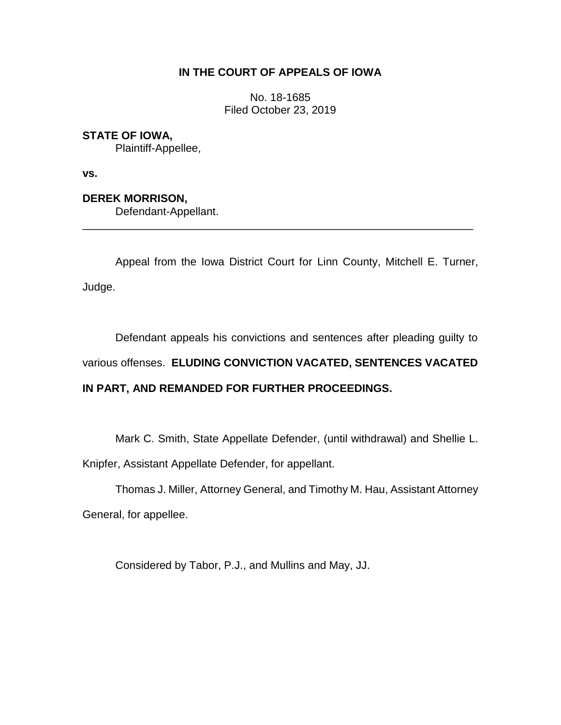## **IN THE COURT OF APPEALS OF IOWA**

No. 18-1685 Filed October 23, 2019

## **STATE OF IOWA,**

Plaintiff-Appellee,

**vs.**

**DEREK MORRISON,** Defendant-Appellant. \_\_\_\_\_\_\_\_\_\_\_\_\_\_\_\_\_\_\_\_\_\_\_\_\_\_\_\_\_\_\_\_\_\_\_\_\_\_\_\_\_\_\_\_\_\_\_\_\_\_\_\_\_\_\_\_\_\_\_\_\_\_\_\_

Appeal from the Iowa District Court for Linn County, Mitchell E. Turner, Judge.

Defendant appeals his convictions and sentences after pleading guilty to various offenses. **ELUDING CONVICTION VACATED, SENTENCES VACATED IN PART, AND REMANDED FOR FURTHER PROCEEDINGS.**

Mark C. Smith, State Appellate Defender, (until withdrawal) and Shellie L. Knipfer, Assistant Appellate Defender, for appellant.

Thomas J. Miller, Attorney General, and Timothy M. Hau, Assistant Attorney General, for appellee.

Considered by Tabor, P.J., and Mullins and May, JJ.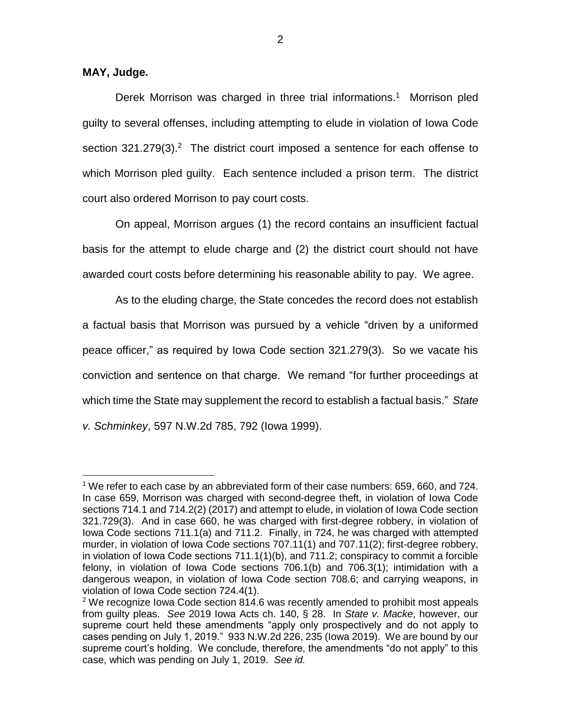**MAY, Judge.**

 $\overline{a}$ 

Derek Morrison was charged in three trial informations. <sup>1</sup> Morrison pled guilty to several offenses, including attempting to elude in violation of Iowa Code section  $321.279(3)$ . The district court imposed a sentence for each offense to which Morrison pled guilty. Each sentence included a prison term. The district court also ordered Morrison to pay court costs.

On appeal, Morrison argues (1) the record contains an insufficient factual basis for the attempt to elude charge and (2) the district court should not have awarded court costs before determining his reasonable ability to pay. We agree.

As to the eluding charge, the State concedes the record does not establish a factual basis that Morrison was pursued by a vehicle "driven by a uniformed peace officer," as required by Iowa Code section 321.279(3). So we vacate his conviction and sentence on that charge. We remand "for further proceedings at which time the State may supplement the record to establish a factual basis." *State v. Schminkey*, 597 N.W.2d 785, 792 (Iowa 1999).

<sup>1</sup> We refer to each case by an abbreviated form of their case numbers: 659, 660, and 724. In case 659, Morrison was charged with second-degree theft, in violation of Iowa Code sections 714.1 and 714.2(2) (2017) and attempt to elude, in violation of Iowa Code section 321.729(3). And in case 660, he was charged with first-degree robbery, in violation of Iowa Code sections 711.1(a) and 711.2. Finally, in 724, he was charged with attempted murder, in violation of Iowa Code sections 707.11(1) and 707.11(2); first-degree robbery, in violation of Iowa Code sections 711.1(1)(b), and 711.2; conspiracy to commit a forcible felony, in violation of Iowa Code sections 706.1(b) and 706.3(1); intimidation with a dangerous weapon, in violation of Iowa Code section 708.6; and carrying weapons, in violation of Iowa Code section 724.4(1).

 $2$  We recognize Iowa Code section 814.6 was recently amended to prohibit most appeals from guilty pleas. *See* 2019 Iowa Acts ch. 140, § 28. In *State v. Macke*, however, our supreme court held these amendments "apply only prospectively and do not apply to cases pending on July 1, 2019." 933 N.W.2d 226, 235 (Iowa 2019). We are bound by our supreme court's holding. We conclude, therefore, the amendments "do not apply" to this case, which was pending on July 1, 2019. *See id.*